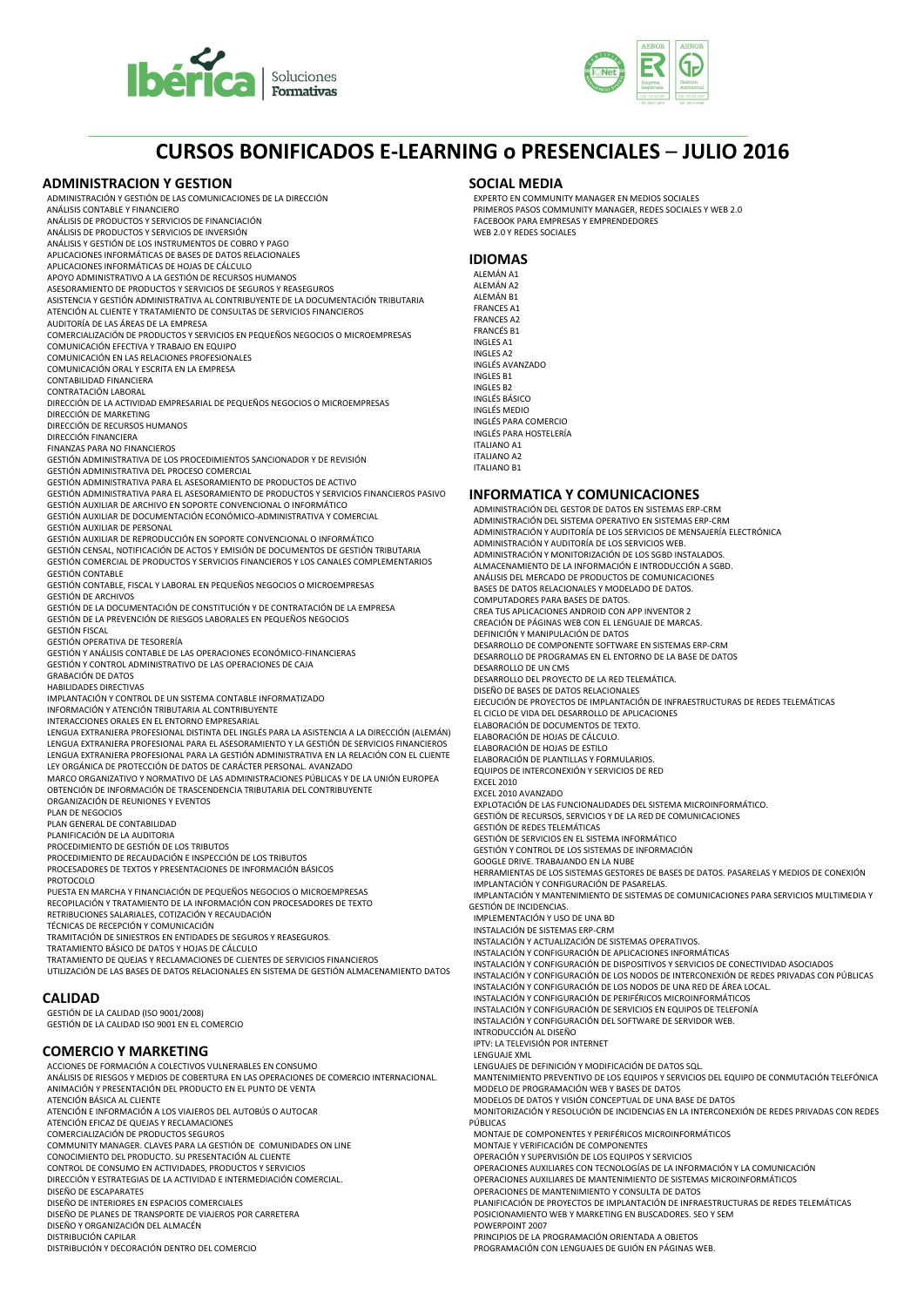



## **CURSOS BONIFICADOS E-LEARNING o PRESENCIALES** – **JULIO 2016**

### **ADMINISTRACION Y GESTION**

ADMINISTRACIÓN Y GESTIÓN DE LAS COMUNICACIONES DE LA DIRECCIÓN ANÁLISIS CONTABLE Y FINANCIERO ANÁLISIS DE PRODUCTOS Y SERVICIOS DE FINANCIACIÓN ANÁLISIS DE PRODUCTOS Y SERVICIOS DE INVERSIÓN ANÁLISIS Y GESTIÓN DE LOS INSTRUMENTOS DE COBRO Y PAGO APLICACIONES INFORMÁTICAS DE BASES DE DATOS RELACIONALES APLICACIONES INFORMÁTICAS DE HOJAS DE CÁLCULO APOYO ADMINISTRATIVO A LA GESTIÓN DE RECURSOS HUMANOS ASESORAMIENTO DE PRODUCTOS Y SERVICIOS DE SEGUROS Y REASEGUROS ASISTENCIA Y GESTIÓN ADMINISTRATIVA AL CONTRIBUYENTE DE LA DOCUMENTACIÓN TRIBUTARIA ATENCIÓN AL CLIENTE Y TRATAMIENTO DE CONSULTAS DE SERVICIOS FINANCIEROS AUDITORÍA DE LAS ÁREAS DE LA EMPRESA COMERCIALIZACIÓN DE PRODUCTOS Y SERVICIOS EN PEQUEÑOS NEGOCIOS O MICROEMPRESAS COMUNICACIÓN EFECTIVA Y TRABAJO EN EQUIPO COMUNICACIÓN EN LAS RELACIONES PROFESIONALES COMUNICACIÓN ORAL Y ESCRITA EN LA EMPRESA CONTABILIDAD FINANCIERA CONTRATACIÓN LABORAL DIRECCIÓN DE LA ACTIVIDAD EMPRESARIAL DE PEQUEÑOS NEGOCIOS O MICROEMPRESAS DIRECCIÓN DE MARKETING DIRECCIÓN DE RECURSOS HUMANOS DIRECCIÓN FINANCIERA FINANZAS PARA NO FINANCIEROS GESTIÓN ADMINISTRATIVA DE LOS PROCEDIMIENTOS SANCIONADOR Y DE REVISIÓN GESTIÓN ADMINISTRATIVA DEL PROCESO COMERCIAL GESTIÓN ADMINISTRATIVA PARA EL ASESORAMIENTO DE PRODUCTOS DE ACTIVO GESTIÓN ADMINISTRATIVA PARA EL ASESORAMIENTO DE PRODUCTOS Y SERVICIOS FINANCIEROS PASIVO GESTIÓN AUXILIAR DE ARCHIVO EN SOPORTE CONVENCIONAL O INFORMÁTICO GESTIÓN AUXILIAR DE DOCUMENTACIÓN ECONÓMICO-ADMINISTRATIVA Y COMERCIAL GESTIÓN AUXILIAR DE PERSONAL GESTIÓN AUXILIAR DE REPRODUCCIÓN EN SOPORTE CONVENCIONAL O INFORMÁTICO GESTIÓN CENSAL, NOTIFICACIÓN DE ACTOS Y EMISIÓN DE DOCUMENTOS DE GESTIÓN TRIBUTARIA GESTIÓN COMERCIAL DE PRODUCTOS Y SERVICIOS FINANCIEROS Y LOS CANALES COMPLEMENTARIOS GESTIÓN CONTABLE GESTIÓN CONTABLE, FISCAL Y LABORAL EN PEQUEÑOS NEGOCIOS O MICROEMPRESAS GESTIÓN DE ARCHIVOS GESTIÓN DE LA DOCUMENTACIÓN DE CONSTITUCIÓN Y DE CONTRATACIÓN DE LA EMPRESA GESTIÓN DE LA PREVENCIÓN DE RIESGOS LABORALES EN PEQUEÑOS NEGOCIOS GESTIÓN FISCAL GESTIÓN OPERATIVA DE TESORERÍA GESTIÓN Y ANÁLISIS CONTABLE DE LAS OPERACIONES ECONÓMICO-FINANCIERAS GESTIÓN Y CONTROL ADMINISTRATIVO DE LAS OPERACIONES DE CAJA GRABACIÓN DE DATOS HABILIDADES DIRECTIVAS IMPLANTACIÓN Y CONTROL DE UN SISTEMA CONTABLE INFORMATIZADO INFORMACIÓN Y ATENCIÓN TRIBUTARIA AL CONTRIBUYENTE INTERACCIONES ORALES EN EL ENTORNO EMPRESARIAL LENGUA EXTRANJERA PROFESIONAL DISTINTA DEL INGLÉS PARA LA ASISTENCIA A LA DIRECCIÓN (ALEMÁN) LENGUA EXTRANJERA PROFESIONAL PARA EL ASESORAMIENTO Y LA GESTIÓN DE SERVICIOS FINANCIEROS<br>LENGUA EXTRANJERA PROFESIONAL PARA LA GESTIÓN ADMINISTRATIVA EN LA RELACIÓN CON EL CLIENTE LEY ORGÁNICA DE PROTECCIÓN DE DATOS DE CARÁCTER PERSONAL. AVANZADO MARCO ORGANIZATIVO Y NORMATIVO DE LAS ADMINISTRACIONES PÚBLICAS Y DE LA UNIÓN EUROPEA OBTENCIÓN DE INFORMACIÓN DE TRASCENDENCIA TRIBUTARIA DEL CONTRIBUYENTE ORGANIZACIÓN DE REUNIONES Y EVENTOS PLAN DE NEGOCIOS PLAN GENERAL DE CONTABILIDAD PLANIFICACIÓN DE LA AUDITORIA PROCEDIMIENTO DE GESTIÓN DE LOS TRIBUTOS PROCEDIMIENTO DE RECAUDACIÓN E INSPECCIÓN DE LOS TRIBUTOS PROCESADORES DE TEXTOS Y PRESENTACIONES DE INFORMACIÓN BÁSICOS PROTOCOLO PUESTA EN MARCHA Y FINANCIACIÓN DE PEQUEÑOS NEGOCIOS O MICROEMPRESAS RECOPILACIÓN Y TRATAMIENTO DE LA INFORMACIÓN CON PROCESADORES DE TEXTO RETRIBUCIONES SALARIALES, COTIZACIÓN Y RECAUDACIÓN TÉCNICAS DE RECEPCIÓN Y COMUNICACIÓN TRAMITACIÓN DE SINIESTROS EN ENTIDADES DE SEGUROS Y REASEGUROS. TRATAMIENTO BÁSICO DE DATOS Y HOJAS DE CÁLCULO TRATAMIENTO DE QUEJAS Y RECLAMACIONES DE CLIENTES DE SERVICIOS FINANCIEROS UTILIZACIÓN DE LAS BASES DE DATOS RELACIONALES EN SISTEMA DE GESTIÓN ALMACENAMIENTO DATOS **CALIDAD** GESTIÓN DE LA CALIDAD (ISO 9001/2008) GESTIÓN DE LA CALIDAD ISO 9001 EN EL COMERCIO **COMERCIO Y MARKETING** ACCIONES DE FORMACIÓN A COLECTIVOS VULNERABLES EN CONSUMO ANÁLISIS DE RIESGOS Y MEDIOS DE COBERTURA EN LAS OPERACIONES DE COMERCIO INTERNACIONAL. ANIMACIÓN Y PRESENTACIÓN DEL PRODUCTO EN EL PUNTO DE VENTA ATENCIÓN BÁSICA AL CLIENTE ATENCIÓN E INFORMACIÓN A LOS VIAJEROS DEL AUTOBÚS O AUTOCAR ATENCIÓN EFICAZ DE QUEJAS Y RECLAMACIONES COMERCIALIZACIÓN DE PRODUCTOS SEGUROS COMMUNITY MANAGER. CLAVES PARA LA GESTIÓN DE COMUNIDADES ON LINE CONOCIMIENTO DEL PRODUCTO. SU PRESENTACIÓN AL CLIENTE CONTROL DE CONSUMO EN ACTIVIDADES, PRODUCTOS Y SERVICIOS DIRECCIÓN Y ESTRATEGIAS DE LA ACTIVIDAD E INTERMEDIACIÓN COMERCIAL. DISEÑO DE ESCAPARATES DISEÑO DE INTERIORES EN ESPACIOS COMERCIALES DISEÑO DE PLANES DE TRANSPORTE DE VIAJEROS POR CARRETERA DISEÑO Y ORGANIZACIÓN DEL ALMACÉN DISTRIBUCIÓN CAPILAR DISTRIBUCIÓN Y DECORACIÓN DENTRO DEL COMERCIO

### **SOCIAL MEDIA**

EXPERTO EN COMMUNITY MANAGER EN MEDIOS SOCIALES PRIMEROS PASOS COMMUNITY MANAGER, REDES SOCIALES Y WEB 2.0 FACEBOOK PARA EMPRESAS Y EMPRENDEDORES WEB 2.0 Y REDES SOCIALES

#### **IDIOMAS**

ALEMÁN A1 ALEMÁN A2 ALEMÁN B1 FRANCES A1 FRANCES A2 FRANCÉS B1 INGLES A1 INGLES A2 INGLÉS AVANZADO INGLES B1 INGLES B2 INGLÉS BÁSICO INGLÉS MEDIO INGLÉS PARA COMERCIO INGLÉS PARA HOSTELERÍA ITALIANO A1 ITALIANO A2 ITALIANO B1

### **INFORMATICA Y COMUNICACIONES**

ADMINISTRACIÓN DEL GESTOR DE DATOS EN SISTEMAS ERP-CRM ADMINISTRACIÓN DEL SISTEMA OPERATIVO EN SISTEMAS ERP-CRM ADMINISTRACIÓN Y AUDITORÍA DE LOS SERVICIOS DE MENSAJERÍA ELECTRÓNICA ADMINISTRACIÓN Y AUDITORÍA DE LOS SERVICIOS WEB. ADMINISTRACIÓN Y MONITORIZACIÓN DE LOS SGBD INSTALADOS. ALMACENAMIENTO DE LA INFORMACIÓN E INTRODUCCIÓN A SGBD. ANÁLISIS DEL MERCADO DE PRODUCTOS DE COMUNICACIONES BASES DE DATOS RELACIONALES Y MODELADO DE DATOS. COMPUTADORES PARA BASES DE DATOS. CREA TUS APLICACIONES ANDROID CON APP INVENTOR 2 CREACIÓN DE PÁGINAS WEB CON EL LENGUAJE DE MARCAS. DEFINICIÓN Y MANIPULACIÓN DE DATOS DESARROLLO DE COMPONENTE SOFTWARE EN SISTEMAS ERP-CRM DESARROLLO DE PROGRAMAS EN EL ENTORNO DE LA BASE DE DATOS DESARROLLO DE UN CMS DESARROLLO DEL PROYECTO DE LA RED TELEMÁTICA. DISEÑO DE BASES DE DATOS RELACIONALES EJECUCIÓN DE PROYECTOS DE IMPLANTACIÓN DE INFRAESTRUCTURAS DE REDES TELEMÁTICAS EL CICLO DE VIDA DEL DESARROLLO DE APLICACIONES ELABORACIÓN DE DOCUMENTOS DE TEXTO. ELABORACIÓN DE HOJAS DE CÁLCULO. ELABORACIÓN DE HOJAS DE ESTILO ELABORACIÓN DE PLANTILLAS Y FORMULARIOS. EQUIPOS DE INTERCONEXIÓN Y SERVICIOS DE RED EXCEL 2010 EXCEL 2010 AVANZADO EXPLOTACIÓN DE LAS FUNCIONALIDADES DEL SISTEMA MICROINFORMÁTICO. GESTIÓN DE RECURSOS, SERVICIOS Y DE LA RED DE COMUNICACIONES GESTIÓN DE REDES TELEMÁTICAS GESTIÓN DE SERVICIOS EN EL SISTEMA INFORMÁTICO GESTIÓN Y CONTROL DE LOS SISTEMAS DE INFORMACIÓN GOOGLE DRIVE. TRABAJANDO EN LA NUBE HERRAMIENTAS DE LOS SISTEMAS GESTORES DE BASES DE DATOS. PASARELAS Y MEDIOS DE CONEXIÓN IMPLANTACIÓN Y CONFIGURACIÓN DE PASARELAS. IMPLANTACIÓN Y MANTENIMIENTO DE SISTEMAS DE COMUNICACIONES PARA SERVICIOS MULTIMEDIA Y GESTIÓN DE INCIDENCIAS. IMPLEMENTACIÓN Y USO DE UNA BD INSTALACIÓN DE SISTEMAS ERP-CRM INSTALACIÓN Y ACTUALIZACIÓN DE SISTEMAS OPERATIVOS. INSTALACIÓN Y CONFIGURACIÓN DE APLICACIONES INFORMÁTICAS INSTALACIÓN Y CONFIGURACIÓN DE DISPOSITIVOS Y SERVICIOS DE CONECTIVIDAD ASOCIADOS INSTALACIÓN Y CONFIGURACIÓN DE LOS NODOS DE INTERCONEXIÓN DE REDES PRIVADAS CON PÚBLICAS INSTALACIÓN Y CONFIGURACIÓN DE LOS NODOS DE UNA RED DE ÁREA LOCAL. INSTALACIÓN Y CONFIGURACIÓN DE PERIFÉRICOS MICROINFORMÁTICOS INSTALACIÓN Y CONFIGURACIÓN DE SERVICIOS EN EQUIPOS DE TELEFONÍA INSTALACIÓN Y CONFIGURACIÓN DEL SOFTWARE DE SERVIDOR WEB. INTRODUCCIÓN AL DISEÑO IPTV: LA TELEVISIÓN POR INTERNET LENGUAJE XML LENGUAJES DE DEFINICIÓN Y MODIFICACIÓN DE DATOS SQL.<br>MANTENIMIENTO PREVENTIVO DE LOS EQUIPOS Y SERVICIOS DEL EQUIPO DE CONMUTACIÓN TELEFÓNICA MODELO DE PROGRAMACIÓN WEB Y BASES DE DATOS MODELOS DE DATOS Y VISIÓN CONCEPTUAL DE UNA BASE DE DATOS MONITORIZACIÓN Y RESOLUCIÓN DE INCIDENCIAS EN LA INTERCONEXIÓN DE REDES PRIVADAS CON REDES PÚBLICAS MONTAJE DE COMPONENTES Y PERIFÉRICOS MICROINFORMÁTICOS MONTAJE Y VERIFICACIÓN DE COMPONENTES OPERACIÓN Y SUPERVISIÓN DE LOS EQUIPOS Y SERVICIOS OPERACIONES AUXILIARES CON TECNOLOGÍAS DE LA INFORMACIÓN Y LA COMUNICACIÓN OPERACIONES AUXILIARES DE MANTENIMIENTO DE SISTEMAS MICROINFORMÁTICOS OPERACIONES DE MANTENIMIENTO Y CONSULTA DE DATOS PLANIFICACIÓN DE PROYECTOS DE IMPLANTACIÓN DE INFRAESTRUCTURAS DE REDES TELEMÁTICAS POSICIONAMIENTO WEB Y MARKETING EN BUSCADORES. SEO Y SEM POWERPOINT 2007 PRINCIPIOS DE LA PROGRAMACIÓN ORIENTADA A OBJETOS PROGRAMACIÓN CON LENGUAJES DE GUIÓN EN PÁGINAS WEB.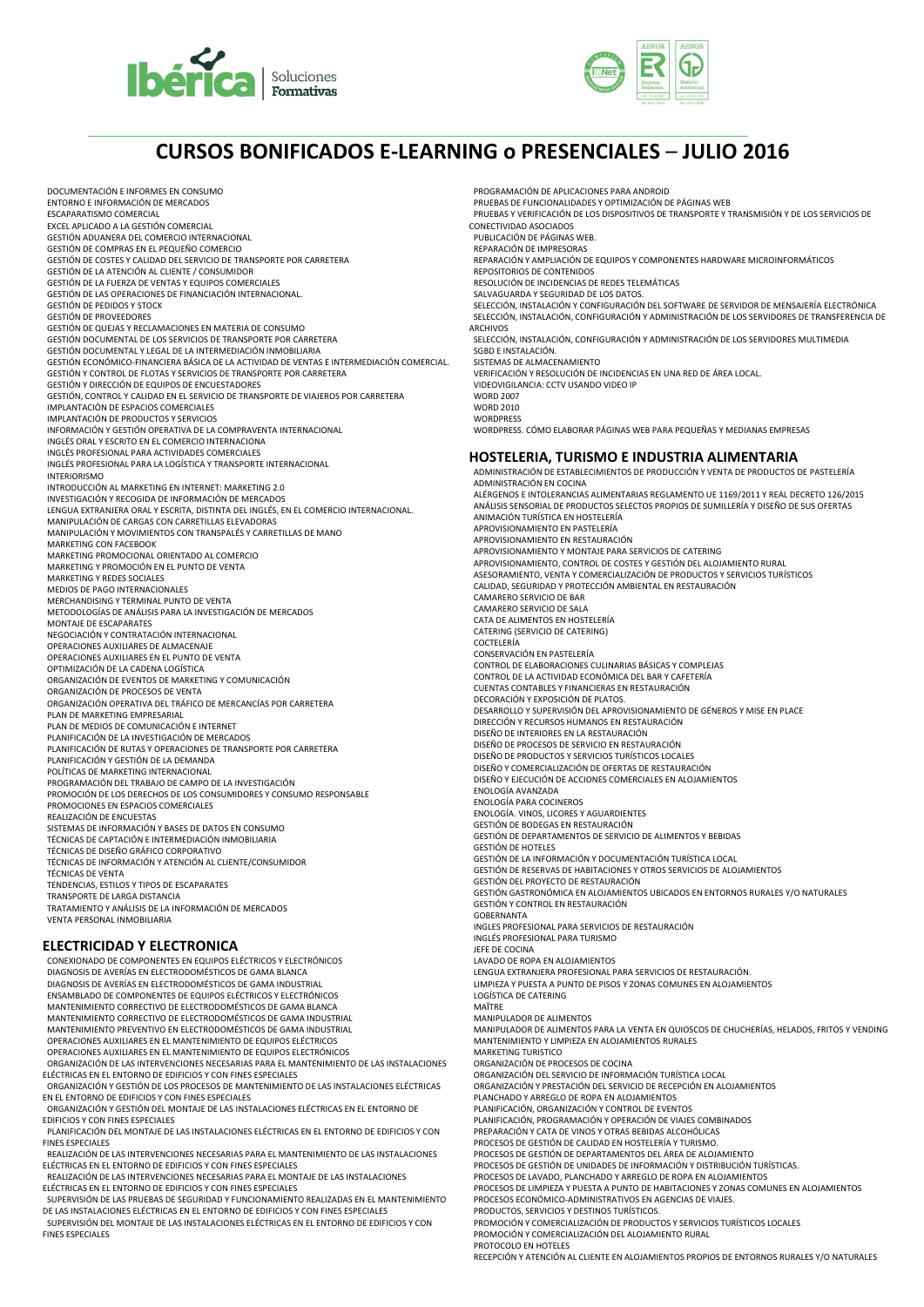



# **CURSOS BONIFICADOS E-LEARNING o PRESENCIALES** – **JULIO 2016**

DOCUMENTACIÓN E INFORMES EN CONSUMO ENTORNO E INFORMACIÓN DE MERCADOS ESCAPARATISMO COMERCIAL EXCEL APLICADO A LA GESTIÓN COMERCIAL GESTIÓN ADUANERA DEL COMERCIO INTERNACIONAL GESTIÓN DE COMPRAS EN EL PEQUEÑO COMERCIO GESTIÓN DE COSTES Y CALIDAD DEL SERVICIO DE TRANSPORTE POR CARRETERA GESTIÓN DE LA ATENCIÓN AL CLIENTE / CONSUMIDOR GESTIÓN DE LA FUERZA DE VENTAS Y EQUIPOS COMERCIALES GESTIÓN DE LAS OPERACIONES DE FINANCIACIÓN INTERNACIONAL. GESTIÓN DE PEDIDOS Y STOCK GESTIÓN DE PROVEEDORES GESTIÓN DE QUEJAS Y RECLAMACIONES EN MATERIA DE CONSUMO GESTIÓN DOCUMENTAL DE LOS SERVICIOS DE TRANSPORTE POR CARRETERA GESTIÓN DOCUMENTAL Y LEGAL DE LA INTERMEDIACIÓN INMOBILIARIA GESTIÓN ECONÓMICO-FINANCIERA BÁSICA DE LA ACTIVIDAD DE VENTAS E INTERMEDIACIÓN COMERCIAL. GESTIÓN Y CONTROL DE FLOTAS Y SERVICIOS DE TRANSPORTE POR CARRETERA GESTIÓN Y DIRECCIÓN DE EQUIPOS DE ENCUESTADORES GESTIÓN, CONTROL Y CALIDAD EN EL SERVICIO DE TRANSPORTE DE VIAJEROS POR CARRETERA IMPLANTACIÓN DE ESPACIOS COMERCIALES IMPLANTACIÓN DE PRODUCTOS Y SERVICIOS INFORMACIÓN Y GESTIÓN OPERATIVA DE LA COMPRAVENTA INTERNACIONAL INGLÉS ORAL Y ESCRITO EN EL COMERCIO INTERNACIONA INGLÉS PROFESIONAL PARA ACTIVIDADES COMERCIALES INGLÉS PROFESIONAL PARA LA LOGÍSTICA Y TRANSPORTE INTERNACIONAL INTERIORISMO INTRODUCCIÓN AL MARKETING EN INTERNET: MARKETING 2.0 INVESTIGACIÓN Y RECOGIDA DE INFORMACIÓN DE MERCADOS LENGUA EXTRANJERA ORAL Y ESCRITA, DISTINTA DEL INGLÉS, EN EL COMERCIO INTERNACIONAL. MANIPULACIÓN DE CARGAS CON CARRETILLAS ELEVADORAS MANIPULACIÓN Y MOVIMIENTOS CON TRANSPALÉS Y CARRETILLAS DE MANO MARKETING CON FACEBOOK MARKETING PROMOCIONAL ORIENTADO AL COMERCIO MARKETING Y PROMOCIÓN EN EL PUNTO DE VENTA MARKETING Y REDES SOCIALES MEDIOS DE PAGO INTERNACIONALES MERCHANDISING Y TERMINAL PUNTO DE VENTA METODOLOGÍAS DE ANÁLISIS PARA LA INVESTIGACIÓN DE MERCADOS MONTAJE DE ESCAPARATES NEGOCIACIÓN Y CONTRATACIÓN INTERNACIONAL OPERACIONES AUXILIARES DE ALMACENAJE OPERACIONES AUXILIARES EN EL PUNTO DE VENTA OPTIMIZACIÓN DE LA CADENA LOGÍSTICA ORGANIZACIÓN DE EVENTOS DE MARKETING Y COMUNICACIÓN ORGANIZACIÓN DE PROCESOS DE VENTA ORGANIZACIÓN OPERATIVA DEL TRÁFICO DE MERCANCÍAS POR CARRETERA PLAN DE MARKETING EMPRESARIAL PLAN DE MEDIOS DE COMUNICACIÓN E INTERNET PLANIFICACIÓN DE LA INVESTIGACIÓN DE MERCADOS PLANIFICACIÓN DE RUTAS Y OPERACIONES DE TRANSPORTE POR CARRETERA PLANIFICACIÓN Y GESTIÓN DE LA DEMANDA POLÍTICAS DE MARKETING INTERNACIONAL PROGRAMACIÓN DEL TRABAJO DE CAMPO DE LA INVESTIGACIÓN PROMOCIÓN DE LOS DERECHOS DE LOS CONSUMIDORES Y CONSUMO RESPONSABLE PROMOCIONES EN ESPACIOS COMERCIALES REALIZACIÓN DE ENCUESTAS SISTEMAS DE INFORMACIÓN Y BASES DE DATOS EN CONSUMO TÉCNICAS DE CAPTACIÓN E INTERMEDIACIÓN INMOBILIARIA TÉCNICAS DE DISEÑO GRÁFICO CORPORATIVO TÉCNICAS DE INFORMACIÓN Y ATENCIÓN AL CLIENTE/CONSUMIDOR TÉCNICAS DE VENTA TENDENCIAS, ESTILOS Y TIPOS DE ESCAPARATES TRANSPORTE DE LARGA DISTANCIA TRATAMIENTO Y ANÁLISIS DE LA INFORMACIÓN DE MERCADOS VENTA PERSONAL INMOBILIARIA **ELECTRICIDAD Y ELECTRONICA** CONEXIONADO DE COMPONENTES EN EQUIPOS ELÉCTRICOS Y ELECTRÓNICOS DIAGNOSIS DE AVERÍAS EN ELECTRODOMÉSTICOS DE GAMA BLANCA DIAGNOSIS DE AVERÍAS EN ELECTRODOMÉSTICOS DE GAMA INDUSTRIAL ENSAMBLADO DE COMPONENTES DE EQUIPOS ELÉCTRICOS Y ELECTRÓNICOS MANTENIMIENTO CORRECTIVO DE ELECTRODOMÉSTICOS DE GAMA BLANCA

MANTENIMIENTO CORRECTIVO DE ELECTRODOMÉSTICOS DE GAMA INDUSTRIAL MANTENIMIENTO PREVENTIVO EN ELECTRODOMÉSTICOS DE GAMA INDUSTRIAL OPERACIONES AUXILIARES EN EL MANTENIMIENTO DE EQUIPOS ELÉCTRICOS OPERACIONES AUXILIARES EN EL MANTENIMIENTO DE EQUIPOS ELECTRÓNICOS ORGANIZACIÓN DE LAS INTERVENCIONES NECESARIAS PARA EL MANTENIMIENTO DE LAS INSTALACIONES ELÉCTRICAS EN EL ENTORNO DE EDIFICIOS Y CON FINES ESPECIALES ORGANIZACIÓN Y GESTIÓN DE LOS PROCESOS DE MANTENIMIENTO DE LAS INSTALACIONES ELÉCTRICAS

EN EL ENTORNO DE EDIFICIOS Y CON FINES ESPECIALES

ORGANIZACIÓN Y GESTIÓN DEL MONTAJE DE LAS INSTALACIONES ELÉCTRICAS EN EL ENTORNO DE EDIFICIOS Y CON FINES ESPECIALES

PLANIFICACIÓN DEL MONTAJE DE LAS INSTALACIONES ELÉCTRICAS EN EL ENTORNO DE EDIFICIOS Y CON FINES ESPECIALES

REALIZACIÓN DE LAS INTERVENCIONES NECESARIAS PARA EL MANTENIMIENTO DE LAS INSTALACIONES ELÉCTRICAS EN EL ENTORNO DE EDIFICIOS Y CON FINES ESPECIALES REALIZACIÓN DE LAS INTERVENCIONES NECESARIAS PARA EL MONTAJE DE LAS INSTALACIONES

ELÉCTRICAS EN EL ENTORNO DE EDIFICIOS Y CON FINES ESPECIALES

SUPERVISIÓN DE LAS PRUEBAS DE SEGURIDAD Y FUNCIONAMIENTO REALIZADAS EN EL MANTENIMIENTO DE LAS INSTALACIONES ELÉCTRICAS EN EL ENTORNO DE EDIFICIOS Y CON FINES ESPECIALES

SUPERVISIÓN DEL MONTAJE DE LAS INSTALACIONES ELÉCTRICAS EN EL ENTORNO DE EDIFICIOS Y CON FINES ESPECIALES

PROGRAMACIÓN DE APLICACIONES PARA ANDROID PRUEBAS DE FUNCIONALIDADES Y OPTIMIZACIÓN DE PÁGINAS WEB PRUEBAS Y VERIFICACIÓN DE LOS DISPOSITIVOS DE TRANSPORTE Y TRANSMISIÓN Y DE LOS SERVICIOS DE CONECTIVIDAD ASOCIADOS PUBLICACIÓN DE PÁGINAS WEB. REPARACIÓN DE IMPRESORAS REPARACIÓN Y AMPLIACIÓN DE EQUIPOS Y COMPONENTES HARDWARE MICROINFORMÁTICOS REPOSITORIOS DE CONTENIDOS RESOLUCIÓN DE INCIDENCIAS DE REDES TELEMÁTICAS SALVAGUARDA Y SEGURIDAD DE LOS DATOS. SELECCIÓN, INSTALACIÓN Y CONFIGURACIÓN DEL SOFTWARE DE SERVIDOR DE MENSAJERÍA ELECTRÓNICA SELECCIÓN, INSTALACIÓN, CONFIGURACIÓN Y ADMINISTRACIÓN DE LOS SERVIDORES DE TRANSFERENCIA DE ARCHIVOS SELECCIÓN, INSTALACIÓN, CONFIGURACIÓN Y ADMINISTRACIÓN DE LOS SERVIDORES MULTIMEDIA SGBD E INSTALACIÓN. SISTEMAS DE ALMACENAMIENTO VERIFICACIÓN Y RESOLUCIÓN DE INCIDENCIAS EN UNA RED DE ÁREA LOCAL. VIDEOVIGILANCIA: CCTV USANDO VIDEO IP WORD 2007 **WORD 2010** WORDPRESS WORDPRESS. CÓMO ELABORAR PÁGINAS WEB PARA PEQUEÑAS Y MEDIANAS EMPRESAS **HOSTELERIA, TURISMO E INDUSTRIA ALIMENTARIA** ADMINISTRACIÓN DE ESTABLECIMIENTOS DE PRODUCCIÓN Y VENTA DE PRODUCTOS DE PASTELERÍA ADMINISTRACIÓN EN COCINA ALÉRGENOS E INTOLERANCIAS ALIMENTARIAS REGLAMENTO UE 1169/2011 Y REAL DECRETO 126/2015 ANÁLISIS SENSORIAL DE PRODUCTOS SELECTOS PROPIOS DE SUMILLERÍA Y DISEÑO DE SUS OFERTAS ANIMACIÓN TURÍSTICA EN HOSTELERÍA APROVISIONAMIENTO EN PASTELERÍA APROVISIONAMIENTO EN RESTAURACIÓN APROVISIONAMIENTO Y MONTAJE PARA SERVICIOS DE CATERING APROVISIONAMIENTO, CONTROL DE COSTES Y GESTIÓN DEL ALOJAMIENTO RURAL ASESORAMIENTO, VENTA Y COMERCIALIZACIÓN DE PRODUCTOS Y SERVICIOS TURÍSTICOS CALIDAD, SEGURIDAD Y PROTECCIÓN AMBIENTAL EN RESTAURACIÓN CAMARERO SERVICIO DE BAR CAMARERO SERVICIO DE SALA CATA DE ALIMENTOS EN HOSTELERÍA CATERING (SERVICIO DE CATERING) COCTELERÍA CONSERVACIÓN EN PASTELERÍA CONTROL DE ELABORACIONES CULINARIAS BÁSICAS Y COMPLEJAS CONTROL DE LA ACTIVIDAD ECONÓMICA DEL BAR Y CAFETERÍA CUENTAS CONTABLES Y FINANCIERAS EN RESTAURACIÓN DECORACIÓN Y EXPOSICIÓN DE PLATOS. DESARROLLO Y SUPERVISIÓN DEL APROVISIONAMIENTO DE GÉNEROS Y MISE EN PLACE DIRECCIÓN Y RECURSOS HUMANOS EN RESTAURACIÓN DISEÑO DE INTERIORES EN LA RESTAURACIÓN DISEÑO DE PROCESOS DE SERVICIO EN RESTAURACIÓN DISEÑO DE PRODUCTOS Y SERVICIOS TURÍSTICOS LOCALES DISEÑO Y COMERCIALIZACIÓN DE OFERTAS DE RESTAURACIÓN DISEÑO Y EJECUCIÓN DE ACCIONES COMERCIALES EN ALOJAMIENTOS ENOLOGÍA AVANZADA ENOLOGÍA PARA COCINEROS ENOLOGÍA. VINOS, LICORES Y AGUARDIENTES GESTIÓN DE BODEGAS EN RESTAURACIÓN GESTIÓN DE DEPARTAMENTOS DE SERVICIO DE ALIMENTOS Y BEBIDAS GESTIÓN DE HOTELES GESTIÓN DE LA INFORMACIÓN Y DOCUMENTACIÓN TURÍSTICA LOCAL GESTIÓN DE RESERVAS DE HABITACIONES Y OTROS SERVICIOS DE ALOJAMIENTOS GESTIÓN DEL PROYECTO DE RESTAURACIÓN GESTIÓN GASTRONÓMICA EN ALOJAMIENTOS UBICADOS EN ENTORNOS RURALES Y/O NATURALES GESTIÓN Y CONTROL EN RESTAURACIÓN **GOBERNANTA** INGLES PROFESIONAL PARA SERVICIOS DE RESTAURACIÓN INGLÉS PROFESIONAL PARA TURISMO JEFE DE COCINA LAVADO DE ROPA EN ALOJAMIENTOS LENGUA EXTRANJERA PROFESIONAL PARA SERVICIOS DE RESTAURACIÓN. LIMPIEZA Y PUESTA A PUNTO DE PISOS Y ZONAS COMUNES EN ALOJAMIENTOS LOGÍSTICA DE CATERING MAÎTRE MANIPULADOR DE ALIMENTOS MANIPULADOR DE ALIMENTOS PARA LA VENTA EN QUIOSCOS DE CHUCHERÍAS, HELADOS, FRITOS Y VENDING MANTENIMIENTO Y LIMPIEZA EN ALOJAMIENTOS RURALES MARKETING TURISTICO ORGANIZACIÓN DE PROCESOS DE COCINA ORGANIZACIÓN DEL SERVICIO DE INFORMACIÓN TURÍSTICA LOCAL ORGANIZACIÓN Y PRESTACIÓN DEL SERVICIO DE RECEPCIÓN EN ALOJAMIENTOS PLANCHADO Y ARREGLO DE ROPA EN ALOJAMIENTOS PLANIFICACIÓN, ORGANIZACIÓN Y CONTROL DE EVENTOS PLANIFICACIÓN, PROGRAMACIÓN Y OPERACIÓN DE VIAJES COMBINADOS PREPARACIÓN Y CATA DE VINOS Y OTRAS BEBIDAS ALCOHÓLICAS PROCESOS DE GESTIÓN DE CALIDAD EN HOSTELERÍA Y TURISMO. PROCESOS DE GESTIÓN DE DEPARTAMENTOS DEL ÁREA DE ALOJAMIENTO PROCESOS DE GESTIÓN DE UNIDADES DE INFORMACIÓN Y DISTRIBUCIÓN TURÍSTICAS. PROCESOS DE LAVADO, PLANCHADO Y ARREGLO DE ROPA EN ALOJAMIENTOS PROCESOS DE LIMPIEZA Y PUESTA A PUNTO DE HABITACIONES Y ZONAS COMUNES EN ALOJAMIENTOS PROCESOS ECONÓMICO-ADMINISTRATIVOS EN AGENCIAS DE VIAJES. PRODUCTOS, SERVICIOS Y DESTINOS TURÍSTICOS. PROMOCIÓN Y COMERCIALIZACIÓN DE PRODUCTOS Y SERVICIOS TURÍSTICOS LOCALES PROMOCIÓN Y COMERCIALIZACIÓN DEL ALOJAMIENTO RURAL PROTOCOLO EN HOTELES RECEPCIÓN Y ATENCIÓN AL CLIENTE EN ALOJAMIENTOS PROPIOS DE ENTORNOS RURALES Y/O NATURALES